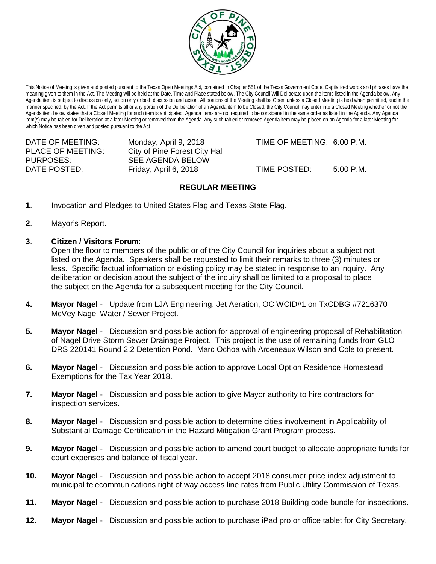

This Notice of Meeting is given and posted pursuant to the Texas Open Meetings Act, contained in Chapter 551 of the Texas Government Code. Capitalized words and phrases have the meaning given to them in the Act. The Meeting will be held at the Date, Time and Place stated below. The City Council Will Deliberate upon the items listed in the Agenda below. Any Agenda item is subject to discussion only, action only or both discussion and action. All portions of the Meeting shall be Open, unless a Closed Meeting is held when permitted, and in the manner specified, by the Act. If the Act permits all or any portion of the Deliberation of an Agenda item to be Closed, the City Council may enter into a Closed Meeting whether or not the Agenda item below states that a Closed Meeting for such item is anticipated. Agenda items are not required to be considered in the same order as listed in the Agenda. Any Agenda item(s) may be tabled for Deliberation at a later Meeting or removed from the Agenda. Any such tabled or removed Agenda item may be placed on an Agenda for a later Meeting for which Notice has been given and posted pursuant to the Act

PLACE OF MEETING: City of Pine Forest City Hall<br>PURPOSES: SEE AGENDA BELOW SEE AGENDA BELOW DATE POSTED: Friday, April 6, 2018 TIME POSTED: 5:00 P.M.

DATE OF MEETING: Monday, April 9, 2018 TIME OF MEETING: 6:00 P.M.

# **REGULAR MEETING**

- **1**. Invocation and Pledges to United States Flag and Texas State Flag.
- **2**. Mayor's Report.
- **3**. **Citizen / Visitors Forum**:

Open the floor to members of the public or of the City Council for inquiries about a subject not listed on the Agenda. Speakers shall be requested to limit their remarks to three (3) minutes or less. Specific factual information or existing policy may be stated in response to an inquiry. Any deliberation or decision about the subject of the inquiry shall be limited to a proposal to place the subject on the Agenda for a subsequent meeting for the City Council.

- **4. Mayor Nagel** Update from LJA Engineering, Jet Aeration, OC WCID#1 on TxCDBG #7216370 McVey Nagel Water / Sewer Project.
- **5. Mayor Nagel** Discussion and possible action for approval of engineering proposal of Rehabilitation of Nagel Drive Storm Sewer Drainage Project. This project is the use of remaining funds from GLO DRS 220141 Round 2.2 Detention Pond. Marc Ochoa with Arceneaux Wilson and Cole to present.
- **6. Mayor Nagel** Discussion and possible action to approve Local Option Residence Homestead Exemptions for the Tax Year 2018.
- **7. Mayor Nagel** Discussion and possible action to give Mayor authority to hire contractors for inspection services.
- **8. Mayor Nagel**  Discussion and possible action to determine cities involvement in Applicability of Substantial Damage Certification in the Hazard Mitigation Grant Program process.
- **9. Mayor Nagel** Discussion and possible action to amend court budget to allocate appropriate funds for court expenses and balance of fiscal year.
- **10. Mayor Nagel** Discussion and possible action to accept 2018 consumer price index adjustment to municipal telecommunications right of way access line rates from Public Utility Commission of Texas.
- **11. Mayor Nagel**  Discussion and possible action to purchase 2018 Building code bundle for inspections.
- **12. Mayor Nagel** Discussion and possible action to purchase iPad pro or office tablet for City Secretary.